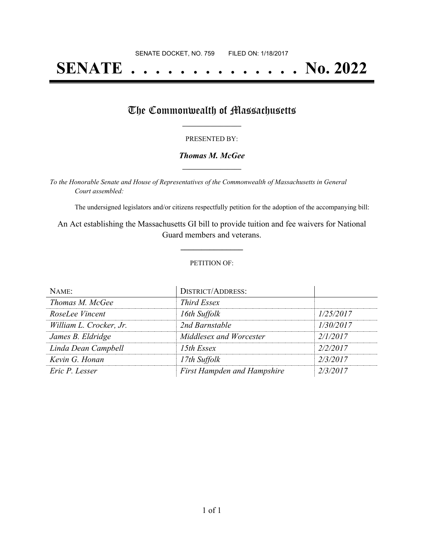# **SENATE . . . . . . . . . . . . . . No. 2022**

## The Commonwealth of Massachusetts

#### PRESENTED BY:

#### *Thomas M. McGee* **\_\_\_\_\_\_\_\_\_\_\_\_\_\_\_\_\_**

*To the Honorable Senate and House of Representatives of the Commonwealth of Massachusetts in General Court assembled:*

The undersigned legislators and/or citizens respectfully petition for the adoption of the accompanying bill:

An Act establishing the Massachusetts GI bill to provide tuition and fee waivers for National Guard members and veterans.

**\_\_\_\_\_\_\_\_\_\_\_\_\_\_\_**

#### PETITION OF:

| NAME:                   | <b>DISTRICT/ADDRESS:</b>           |           |
|-------------------------|------------------------------------|-----------|
| Thomas M. McGee         | <b>Third Essex</b>                 |           |
| RoseLee Vincent         | 16th Suffolk                       | 1/25/2017 |
| William L. Crocker, Jr. | 2nd Barnstable                     | 1/30/2017 |
| James B. Eldridge       | Middlesex and Worcester            | 2/1/2017  |
| Linda Dean Campbell     | 15th Essex                         | 2/2/2017  |
| Kevin G. Honan          | 17th Suffolk                       | 2/3/2017  |
| Eric P. Lesser          | <b>First Hampden and Hampshire</b> | 2/3/2017  |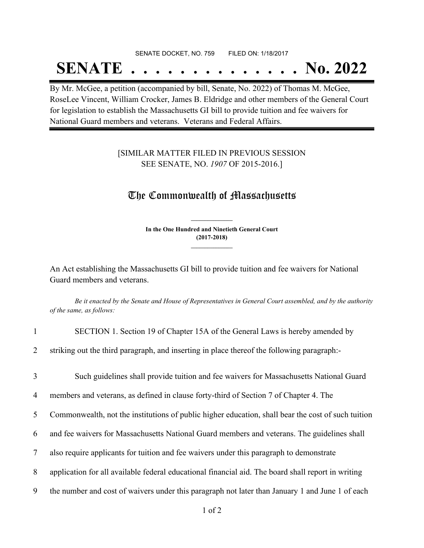#### SENATE DOCKET, NO. 759 FILED ON: 1/18/2017

## **SENATE . . . . . . . . . . . . . . No. 2022**

By Mr. McGee, a petition (accompanied by bill, Senate, No. 2022) of Thomas M. McGee, RoseLee Vincent, William Crocker, James B. Eldridge and other members of the General Court for legislation to establish the Massachusetts GI bill to provide tuition and fee waivers for National Guard members and veterans. Veterans and Federal Affairs.

### [SIMILAR MATTER FILED IN PREVIOUS SESSION SEE SENATE, NO. *1907* OF 2015-2016.]

### The Commonwealth of Massachusetts

**In the One Hundred and Ninetieth General Court (2017-2018) \_\_\_\_\_\_\_\_\_\_\_\_\_\_\_**

**\_\_\_\_\_\_\_\_\_\_\_\_\_\_\_**

An Act establishing the Massachusetts GI bill to provide tuition and fee waivers for National Guard members and veterans.

Be it enacted by the Senate and House of Representatives in General Court assembled, and by the authority *of the same, as follows:*

| $\mathbf{1}$   | SECTION 1. Section 19 of Chapter 15A of the General Laws is hereby amended by                      |
|----------------|----------------------------------------------------------------------------------------------------|
| 2              | striking out the third paragraph, and inserting in place thereof the following paragraph:-         |
| $\overline{3}$ | Such guidelines shall provide tuition and fee waivers for Massachusetts National Guard             |
| 4              | members and veterans, as defined in clause forty-third of Section 7 of Chapter 4. The              |
| 5              | Commonwealth, not the institutions of public higher education, shall bear the cost of such tuition |
| 6              | and fee waivers for Massachusetts National Guard members and veterans. The guidelines shall        |
| $\tau$         | also require applicants for tuition and fee waivers under this paragraph to demonstrate            |
| 8              | application for all available federal educational financial aid. The board shall report in writing |
| 9              | the number and cost of waivers under this paragraph not later than January 1 and June 1 of each    |